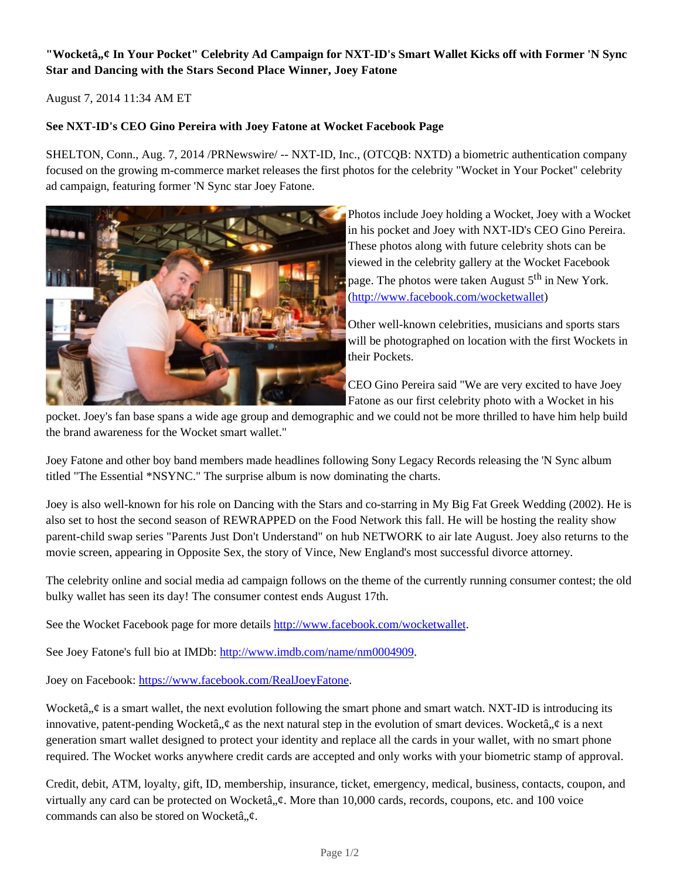# "Wocketâ,,¢ In Your Pocket" Celebrity Ad Campaign for NXT-ID's Smart Wallet Kicks off with Former 'N Sync **Star and Dancing with the Stars Second Place Winner, Joey Fatone**

August 7, 2014 11:34 AM ET

## **See NXT-ID's CEO Gino Pereira with Joey Fatone at Wocket Facebook Page**

SHELTON, Conn., Aug. 7, 2014 /PRNewswire/ -- NXT-ID, Inc., (OTCQB: NXTD) a biometric authentication company focused on the growing m-commerce market releases the first photos for the celebrity "Wocket in Your Pocket" celebrity ad campaign, featuring former 'N Sync star Joey Fatone.



Photos include Joey holding a Wocket, Joey with a Wocket in his pocket and Joey with NXT-ID's CEO Gino Pereira. These photos along with future celebrity shots can be viewed in the celebrity gallery at the Wocket Facebook page. The photos were taken August  $5<sup>th</sup>$  in New York. (http://www.facebook.com/wocketwallet)

Other well-known celebrities, musicians and sports stars will be photographed on location with the first Wockets in their Pockets.

CEO Gino Pereira said "We are very excited to have Joey Fatone as our first celebrity photo with a Wocket in his

pocket. Joey's fan base spans a wide age group and demographic and we could not be more thrilled to have him help build the brand awareness for the Wocket smart wallet."

Joey Fatone and other boy band members made headlines following Sony Legacy Records releasing the 'N Sync album titled "The Essential \*NSYNC." The surprise album is now dominating the charts.

Joey is also well-known for his role on Dancing with the Stars and co-starring in My Big Fat Greek Wedding (2002). He is also set to host the second season of REWRAPPED on the Food Network this fall. He will be hosting the reality show parent-child swap series "Parents Just Don't Understand" on hub NETWORK to air late August. Joey also returns to the movie screen, appearing in Opposite Sex, the story of Vince, New England's most successful divorce attorney.

The celebrity online and social media ad campaign follows on the theme of the currently running consumer contest; the old bulky wallet has seen its day! The consumer contest ends August 17th.

See the Wocket Facebook page for more details http://www.facebook.com/wocketwallet.

See Joey Fatone's full bio at IMDb: http://www.imdb.com/name/nm0004909.

Joey on Facebook: https://www.facebook.com/RealJoeyFatone.

Wocketâ,  $\phi$  is a smart wallet, the next evolution following the smart phone and smart watch. NXT-ID is introducing its innovative, patent-pending Wocketâ,  $\phi$  as the next natural step in the evolution of smart devices. Wocketâ,  $\phi$  is a next generation smart wallet designed to protect your identity and replace all the cards in your wallet, with no smart phone required. The Wocket works anywhere credit cards are accepted and only works with your biometric stamp of approval.

Credit, debit, ATM, loyalty, gift, ID, membership, insurance, ticket, emergency, medical, business, contacts, coupon, and virtually any card can be protected on Wocketâ,  $\phi$ . More than 10,000 cards, records, coupons, etc. and 100 voice commands can also be stored on Wocketâ,  $\phi$ .